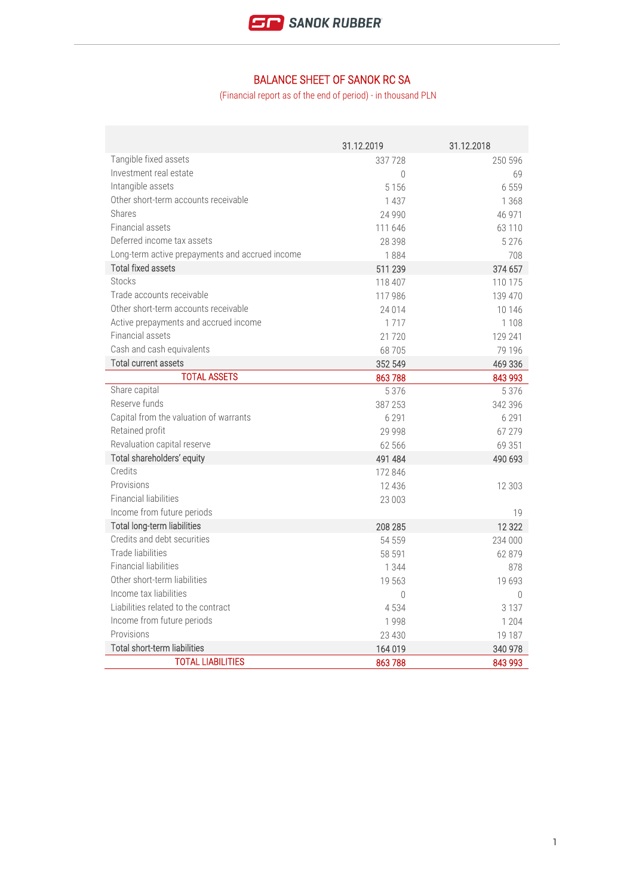

## BALANCE SHEET OF SANOK RC SA

(Financial report as of the end of period) - in thousand PLN

|                                                 | 31.12.2019 | 31.12.2018 |
|-------------------------------------------------|------------|------------|
| Tangible fixed assets                           | 337728     | 250 596    |
| Investment real estate                          | $\theta$   | 69         |
| Intangible assets                               | 5 1 5 6    | 6 5 5 9    |
| Other short-term accounts receivable            | 1 4 3 7    | 1 3 6 8    |
| Shares                                          | 24 9 9 0   | 46 971     |
| Financial assets                                | 111 646    | 63 110     |
| Deferred income tax assets                      | 28 398     | 5 2 7 6    |
| Long-term active prepayments and accrued income | 1884       | 708        |
| <b>Total fixed assets</b>                       | 511 239    | 374 657    |
| <b>Stocks</b>                                   | 118 407    | 110 175    |
| Trade accounts receivable                       | 117 986    | 139 470    |
| Other short-term accounts receivable            | 24 0 14    | 10 14 6    |
| Active prepayments and accrued income           | 1717       | 1 1 0 8    |
| Financial assets                                | 21 7 20    | 129 241    |
| Cash and cash equivalents                       | 68 705     | 79 196     |
| <b>Total current assets</b>                     | 352 549    | 469 336    |
| <b>TOTAL ASSETS</b>                             | 863788     | 843 993    |
| Share capital                                   | 5376       | 5 3 7 6    |
| Reserve funds                                   | 387 253    | 342 396    |
| Capital from the valuation of warrants          | 6 2 9 1    | 6 2 9 1    |
| Retained profit                                 | 29 9 9 8   | 67 279     |
| Revaluation capital reserve                     | 62 566     | 69 351     |
| Total shareholders' equity                      | 491 484    | 490 693    |
| Credits                                         | 172 846    |            |
| Provisions                                      | 12 4 3 6   | 12 303     |
| <b>Financial liabilities</b>                    | 23 003     |            |
| Income from future periods                      |            | 19         |
| Total long-term liabilities                     | 208 285    | 12322      |
| Credits and debt securities                     | 54 559     | 234 000    |
| Trade liabilities                               | 58 591     | 62 879     |
| <b>Financial liabilities</b>                    | 1 3 4 4    | 878        |
| Other short-term liabilities                    | 19 563     | 19693      |
| Income tax liabilities                          | $\theta$   | $\Omega$   |
| Liabilities related to the contract             | 4534       | 3 1 3 7    |
| Income from future periods                      | 1998       | 1 204      |
| Provisions                                      | 23 4 30    | 19 187     |
| Total short-term liabilities                    | 164 019    | 340 978    |
| <b>TOTAL LIABILITIES</b>                        | 863788     | 843 993    |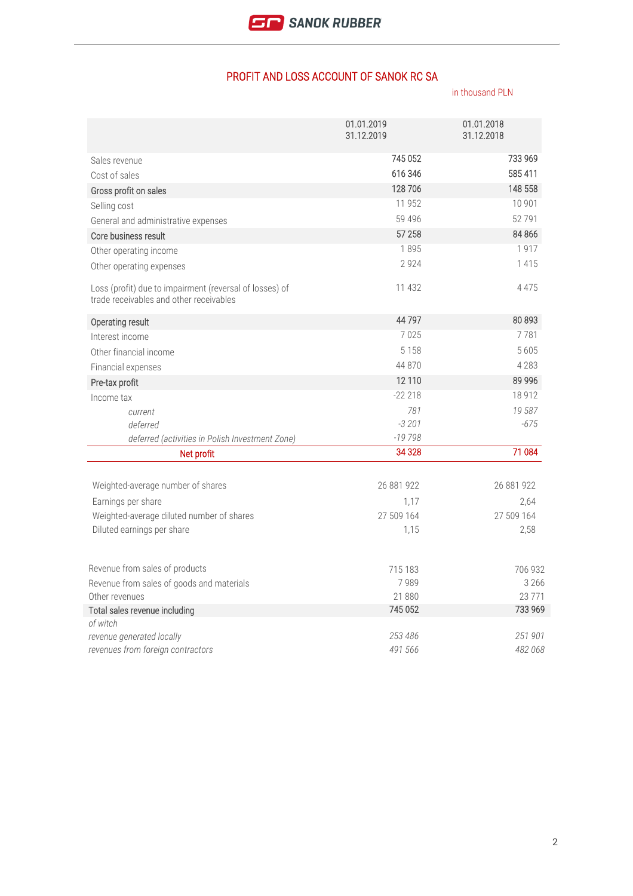## PROFIT AND LOSS ACCOUNT OF SANOK RC SA

in thousand PLN

|                                                                                                    | 01.01.2019 | 01.01.2018 |
|----------------------------------------------------------------------------------------------------|------------|------------|
|                                                                                                    | 31.12.2019 | 31.12.2018 |
| Sales revenue                                                                                      | 745 052    | 733 969    |
| Cost of sales                                                                                      | 616 346    | 585 411    |
| Gross profit on sales                                                                              | 128706     | 148 558    |
| Selling cost                                                                                       | 11 9 5 2   | 10 901     |
| General and administrative expenses                                                                | 59 4 9 6   | 52791      |
| Core business result                                                                               | 57 258     | 84 866     |
| Other operating income                                                                             | 1895       | 1917       |
| Other operating expenses                                                                           | 2924       | 1415       |
| Loss (profit) due to impairment (reversal of losses) of<br>trade receivables and other receivables | 11 432     | 4 4 7 5    |
| Operating result                                                                                   | 44797      | 80 893     |
| Interest income                                                                                    | 7025       | 7781       |
| Other financial income                                                                             | 5 1 5 8    | 5 6 0 5    |
| Financial expenses                                                                                 | 44 870     | 4 2 8 3    |
| Pre-tax profit                                                                                     | 12 110     | 89 996     |
| Income tax                                                                                         | $-22218$   | 18 9 12    |
| current                                                                                            | 781        | 19587      |
| deferred                                                                                           | $-3201$    | $-675$     |
| deferred (activities in Polish Investment Zone)                                                    | $-19798$   |            |
| Net profit                                                                                         | 34 3 28    | 71 084     |
| Weighted-average number of shares                                                                  | 26 881 922 | 26 881 922 |
| Earnings per share                                                                                 | 1,17       | 2,64       |
| Weighted-average diluted number of shares                                                          | 27 509 164 | 27 509 164 |
| Diluted earnings per share                                                                         | 1,15       | 2,58       |
| Revenue from sales of products                                                                     | 715 183    | 706 932    |
| Revenue from sales of goods and materials                                                          | 7989       | 3 2 6 6    |
| Other revenues                                                                                     | 21880      | 23771      |
| Total sales revenue including                                                                      | 745 052    | 733 969    |
| of witch                                                                                           |            |            |
| revenue generated locally                                                                          | 253 486    | 251 901    |
| revenues from foreign contractors                                                                  | 491 566    | 482 068    |